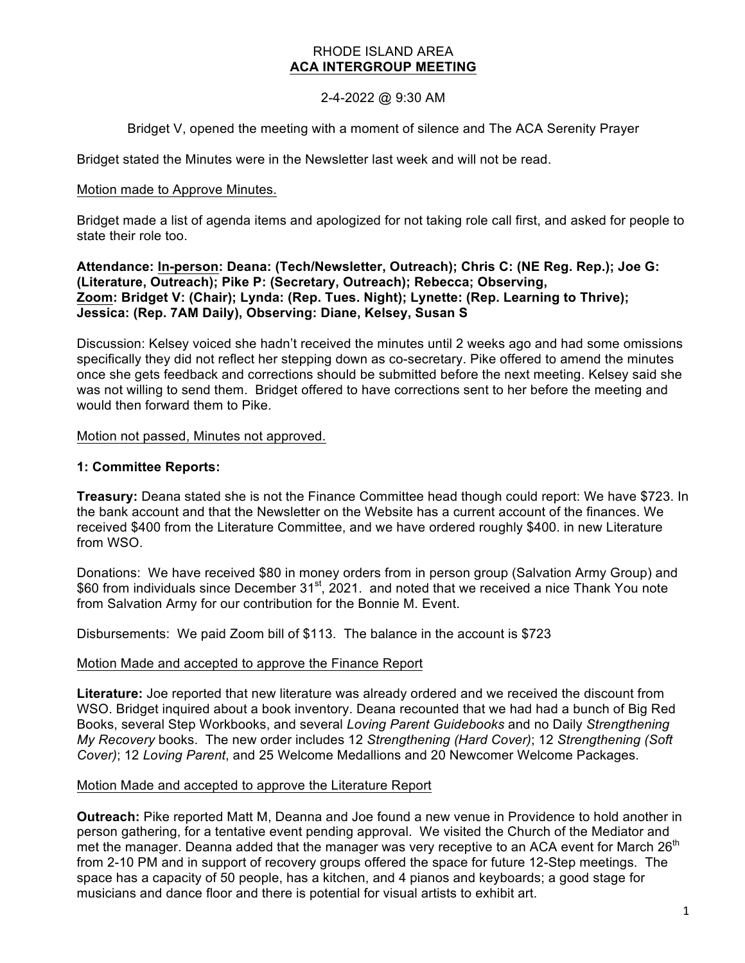## RHODE ISLAND AREA **ACA INTERGROUP MEETING**

# 2-4-2022 @ 9:30 AM

Bridget V, opened the meeting with a moment of silence and The ACA Serenity Prayer

Bridget stated the Minutes were in the Newsletter last week and will not be read.

## Motion made to Approve Minutes.

Bridget made a list of agenda items and apologized for not taking role call first, and asked for people to state their role too.

**Attendance: In-person: Deana: (Tech/Newsletter, Outreach); Chris C: (NE Reg. Rep.); Joe G: (Literature, Outreach); Pike P: (Secretary, Outreach); Rebecca; Observing, Zoom: Bridget V: (Chair); Lynda: (Rep. Tues. Night); Lynette: (Rep. Learning to Thrive); Jessica: (Rep. 7AM Daily), Observing: Diane, Kelsey, Susan S**

Discussion: Kelsey voiced she hadn't received the minutes until 2 weeks ago and had some omissions specifically they did not reflect her stepping down as co-secretary. Pike offered to amend the minutes once she gets feedback and corrections should be submitted before the next meeting. Kelsey said she was not willing to send them. Bridget offered to have corrections sent to her before the meeting and would then forward them to Pike.

Motion not passed, Minutes not approved.

# **1: Committee Reports:**

**Treasury:** Deana stated she is not the Finance Committee head though could report: We have \$723. In the bank account and that the Newsletter on the Website has a current account of the finances. We received \$400 from the Literature Committee, and we have ordered roughly \$400. in new Literature from WSO.

Donations: We have received \$80 in money orders from in person group (Salvation Army Group) and \$60 from individuals since December 31<sup>st</sup>, 2021. and noted that we received a nice Thank You note from Salvation Army for our contribution for the Bonnie M. Event.

Disbursements: We paid Zoom bill of \$113. The balance in the account is \$723

### Motion Made and accepted to approve the Finance Report

**Literature:** Joe reported that new literature was already ordered and we received the discount from WSO. Bridget inquired about a book inventory. Deana recounted that we had had a bunch of Big Red Books, several Step Workbooks, and several *Loving Parent Guidebooks* and no Daily *Strengthening My Recovery* books. The new order includes 12 *Strengthening (Hard Cover)*; 12 *Strengthening (Soft Cover)*; 12 *Loving Parent*, and 25 Welcome Medallions and 20 Newcomer Welcome Packages.

### Motion Made and accepted to approve the Literature Report

**Outreach:** Pike reported Matt M, Deanna and Joe found a new venue in Providence to hold another in person gathering, for a tentative event pending approval. We visited the Church of the Mediator and met the manager. Deanna added that the manager was very receptive to an ACA event for March  $26<sup>th</sup>$ from 2-10 PM and in support of recovery groups offered the space for future 12-Step meetings. The space has a capacity of 50 people, has a kitchen, and 4 pianos and keyboards; a good stage for musicians and dance floor and there is potential for visual artists to exhibit art.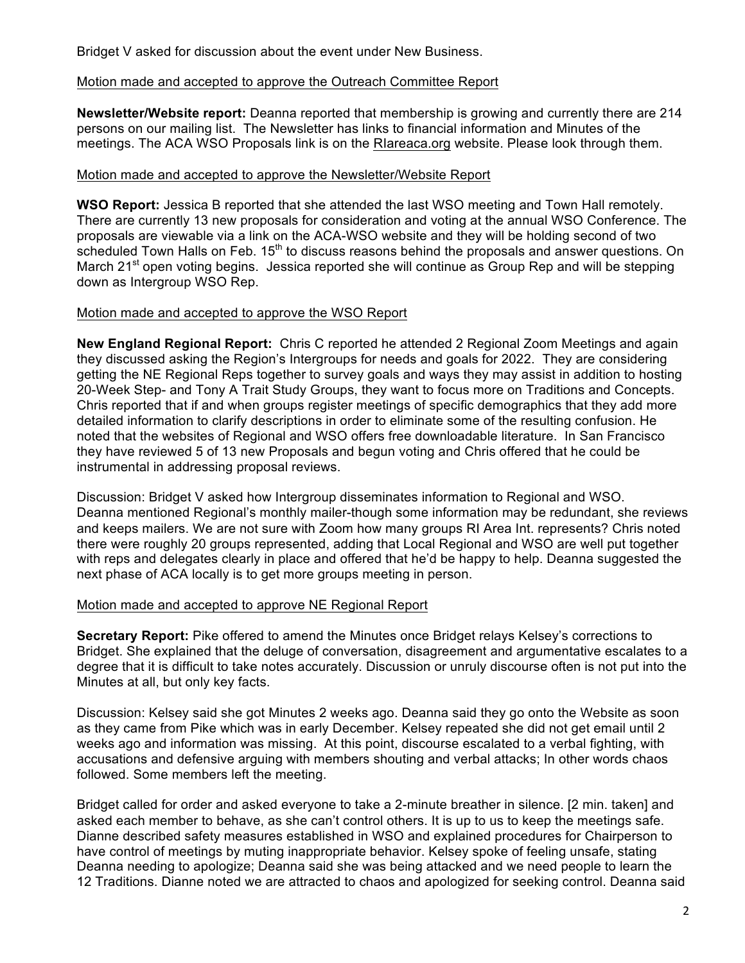Bridget V asked for discussion about the event under New Business.

## Motion made and accepted to approve the Outreach Committee Report

**Newsletter/Website report:** Deanna reported that membership is growing and currently there are 214 persons on our mailing list. The Newsletter has links to financial information and Minutes of the meetings. The ACA WSO Proposals link is on the RIareaca.org website. Please look through them.

## Motion made and accepted to approve the Newsletter/Website Report

**WSO Report:** Jessica B reported that she attended the last WSO meeting and Town Hall remotely. There are currently 13 new proposals for consideration and voting at the annual WSO Conference. The proposals are viewable via a link on the ACA-WSO website and they will be holding second of two  $\overline{\phantom{a}}$  scheduled Town Halls on Feb. 15<sup>th</sup> to discuss reasons behind the proposals and answer questions. On March 21<sup>st</sup> open voting begins. Jessica reported she will continue as Group Rep and will be stepping down as Intergroup WSO Rep.

## Motion made and accepted to approve the WSO Report

**New England Regional Report:** Chris C reported he attended 2 Regional Zoom Meetings and again they discussed asking the Region's Intergroups for needs and goals for 2022. They are considering getting the NE Regional Reps together to survey goals and ways they may assist in addition to hosting 20-Week Step- and Tony A Trait Study Groups, they want to focus more on Traditions and Concepts. Chris reported that if and when groups register meetings of specific demographics that they add more detailed information to clarify descriptions in order to eliminate some of the resulting confusion. He noted that the websites of Regional and WSO offers free downloadable literature. In San Francisco they have reviewed 5 of 13 new Proposals and begun voting and Chris offered that he could be instrumental in addressing proposal reviews.

Discussion: Bridget V asked how Intergroup disseminates information to Regional and WSO. Deanna mentioned Regional's monthly mailer-though some information may be redundant, she reviews and keeps mailers. We are not sure with Zoom how many groups RI Area Int. represents? Chris noted there were roughly 20 groups represented, adding that Local Regional and WSO are well put together with reps and delegates clearly in place and offered that he'd be happy to help. Deanna suggested the next phase of ACA locally is to get more groups meeting in person.

# Motion made and accepted to approve NE Regional Report

**Secretary Report:** Pike offered to amend the Minutes once Bridget relays Kelsey's corrections to Bridget. She explained that the deluge of conversation, disagreement and argumentative escalates to a degree that it is difficult to take notes accurately. Discussion or unruly discourse often is not put into the Minutes at all, but only key facts.

Discussion: Kelsey said she got Minutes 2 weeks ago. Deanna said they go onto the Website as soon as they came from Pike which was in early December. Kelsey repeated she did not get email until 2 weeks ago and information was missing. At this point, discourse escalated to a verbal fighting, with accusations and defensive arguing with members shouting and verbal attacks; In other words chaos followed. Some members left the meeting.

Bridget called for order and asked everyone to take a 2-minute breather in silence. [2 min. taken] and asked each member to behave, as she can't control others. It is up to us to keep the meetings safe. Dianne described safety measures established in WSO and explained procedures for Chairperson to have control of meetings by muting inappropriate behavior. Kelsey spoke of feeling unsafe, stating Deanna needing to apologize; Deanna said she was being attacked and we need people to learn the 12 Traditions. Dianne noted we are attracted to chaos and apologized for seeking control. Deanna said